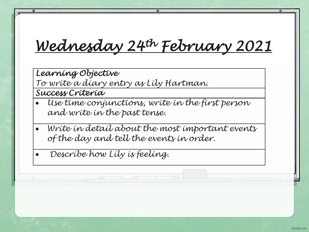## *Wednesday 24th February 2021*

*Learning Objective* 

*To write a diary entry as Lily Hartman.* 

*Success Criteria* 

- *Use time conjunctions, write in the first person and write in the past tense.*
- *Write in detail about the most important events of the day and tell the events in order.*

• *Describe how Lily is feeling.*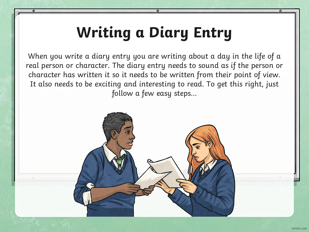## **Writing a Diary Entry**

When you write a diary entry you are writing about a day in the life of a real person or character. The diary entry needs to sound as if the person or character has written it so it needs to be written from their point of view. It also needs to be exciting and interesting to read. To get this right, just follow a few easy steps...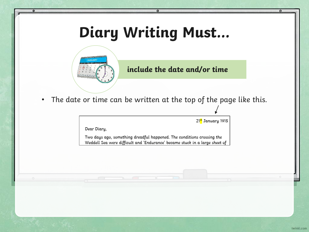## **Diary Writing Must…**

 $\mathbf o$ 



ō

#### **include the date and/or time**

• The date or time can be written at the top of the page like this.

21st January 1915

Dear Diary,

Two days ago, something dreadful happened. The conditions crossing the Weddell Sea were difficult and 'Endurance' became stuck in a large sheet of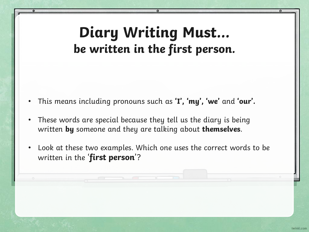#### **Diary Writing Must… be written in the first person.**

- This means including pronouns such as **'I', 'my', 'we'** and **'our'.**
- These words are special because they tell us the diary is being written **by** someone and they are talking about **themselves**.
- Look at these two examples. Which one uses the correct words to be written in the '**first person**'?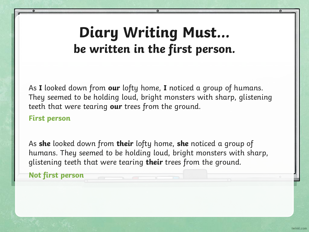#### **Diary Writing Must… be written in the first person.**

As **I** looked down from **our** lofty home, **I** noticed a group of humans. They seemed to be holding loud, bright monsters with sharp, glistening teeth that were tearing **our** trees from the ground.

#### **First person**

As **she** looked down from **their** lofty home, **she** noticed a group of humans. They seemed to be holding loud, bright monsters with sharp, glistening teeth that were tearing **their** trees from the ground.

**Not first person**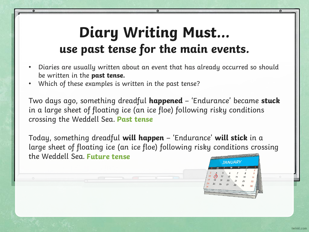### **Diary Writing Must… use past tense for the main events.**

- Diaries are usually written about an event that has already occurred so should be written in the **past tense.**
- Which of these examples is written in the past tense?

Two days ago, something dreadful **happened** – 'Endurance' became **stuck** in a large sheet of floating ice (an ice floe) following risky conditions crossing the Weddell Sea. **Past tense**

Today, something dreadful **will happen** – 'Endurance' **will stick** in a large sheet of floating ice (an ice floe) following risky conditions crossing the Weddell Sea. **Future tense**

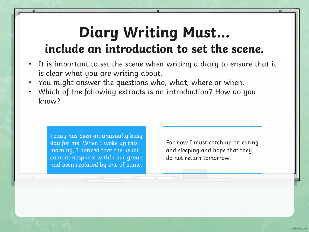#### **Diary Writing Must… include an introduction to set the scene.**

- It is important to set the scene when writing a diary to ensure that it is clear what you are writing about.
- You might answer the questions who, what, where or when.
- Which of the following extracts is an introduction? How do you know?

Today has been an unusually busy day for me! When I woke up this morning, I noticed that the usual calm atmosphere within our group had been replaced by one of panic.

For now I must catch up on eating and sleeping and hope that they do not return tomorrow.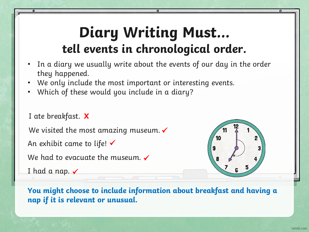### **Diary Writing Must… tell events in chronological order.**

- In a diary we usually write about the events of our day in the order they happened.
- We only include the most important or interesting events.
- Which of these would you include in a diary?

I ate breakfast. **X**

We visited the most amazing museum.  $\checkmark$ 

An exhibit came to life!  $\checkmark$ 

We had to evacuate the museum.  $\checkmark$ 

I had a nap.  $\checkmark$ 



**You might choose to include information about breakfast and having a nap if it is relevant or unusual.**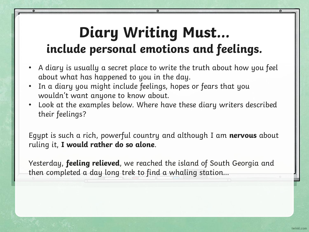### **Diary Writing Must… include personal emotions and feelings.**

- A diary is usually a secret place to write the truth about how you feel about what has happened to you in the day.
- In a diary you might include feelings, hopes or fears that you wouldn't want anyone to know about.
- Look at the examples below. Where have these diary writers described their feelings?

Egypt is such a rich, powerful country and although I am **nervous** about ruling it, **I would rather do so alone**.

Yesterday, **feeling relieved**, we reached the island of South Georgia and then completed a day long trek to find a whaling station…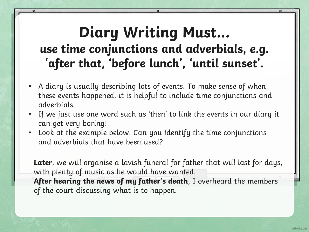#### **Diary Writing Must… use time conjunctions and adverbials, e.g. 'after that, 'before lunch', 'until sunset'.**

- A diary is usually describing lots of events. To make sense of when these events happened, it is helpful to include time conjunctions and adverbials.
- If we just use one word such as 'then' to link the events in our diary it can get very boring!
- Look at the example below. Can you identify the time conjunctions and adverbials that have been used?

**Later**, we will organise a lavish funeral for father that will last for days, with plenty of music as he would have wanted. **After hearing the news of my father's death**, I overheard the members of the court discussing what is to happen.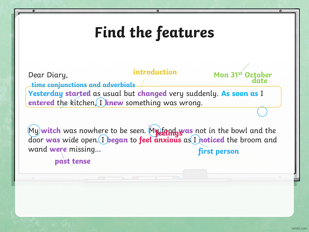## **Find the features**